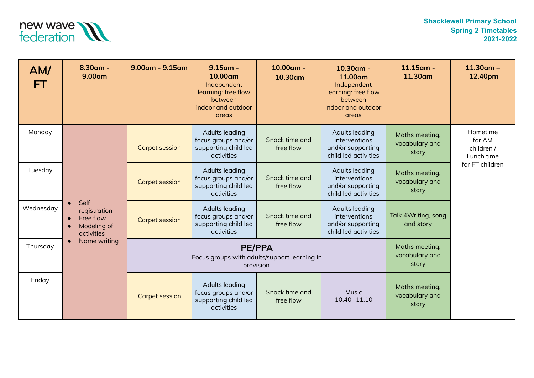

| AM/<br>FT. | $8.30$ am -<br>9.00am                                                                       | $9.00$ am - $9.15$ am | $9.15$ am -<br>10.00am<br>Independent<br>learning: free flow<br>between<br>indoor and outdoor<br>areas | 10.00am -<br>10.30am                      | 10.30am -<br>11.00am<br>Independent<br>learning: free flow<br>between<br>indoor and outdoor<br>areas | $11.15$ am -<br>11.30am                   | $11.30$ am -<br>12.40pm                        |
|------------|---------------------------------------------------------------------------------------------|-----------------------|--------------------------------------------------------------------------------------------------------|-------------------------------------------|------------------------------------------------------------------------------------------------------|-------------------------------------------|------------------------------------------------|
| Monday     | Self<br>registration<br>Free flow<br>$\bullet$<br>Modeling of<br>activities<br>Name writing | <b>Carpet session</b> | Adults leading<br>focus groups and/or<br>supporting child led<br>activities                            | Snack time and<br>free flow               | Adults leading<br>interventions<br>and/or supporting<br>child led activities                         | Maths meeting,<br>vocabulary and<br>story | Hometime<br>for AM<br>children /<br>Lunch time |
| Tuesday    |                                                                                             | <b>Carpet session</b> | Adults leading<br>focus groups and/or<br>supporting child led<br>activities                            | Snack time and<br>free flow               | <b>Adults leading</b><br>interventions<br>and/or supporting<br>child led activities                  | Maths meeting,<br>vocabulary and<br>story | for FT children                                |
| Wednesday  |                                                                                             | <b>Carpet session</b> | Adults leading<br>focus groups and/or<br>supporting child led<br><b>activities</b>                     | Snack time and<br>free flow               | Adults leading<br><i>interventions</i><br>and/or supporting<br>child led activities                  | Talk 4 Writing, song<br>and story         |                                                |
| Thursday   |                                                                                             |                       | <b>PE/PPA</b><br>Focus groups with adults/support learning in<br>provision                             | Maths meeting,<br>vocabulary and<br>story |                                                                                                      |                                           |                                                |
| Friday     |                                                                                             | <b>Carpet session</b> | Adults leading<br>focus groups and/or<br>supporting child led<br>activities                            | Snack time and<br>free flow               | <b>Music</b><br>10.40-11.10                                                                          | Maths meeting,<br>vocabulary and<br>story |                                                |